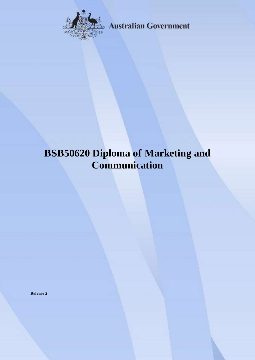

**Australian Government** 

# **BSB50620 Diploma of Marketing and Communication**

**Release 2**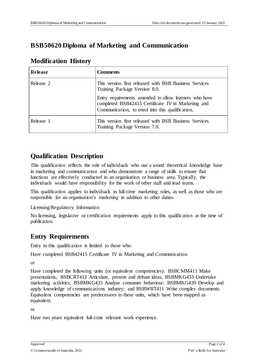# **BSB50620 Diploma of Marketing and Communication**

#### **Modification History**

| Release   | <b>Comments</b>                                                                                                                                                 |
|-----------|-----------------------------------------------------------------------------------------------------------------------------------------------------------------|
| Release 2 | This version first released with BSB Business Services<br>Training Package Version 8.0.                                                                         |
|           | Entry requirements amended to allow learners who have<br>completed BSB42415 Certificate IV in Marketing and<br>Communication, to enrol into this qualification. |
| Release 1 | This version first released with BSB Business Services<br>Training Package Version 7.0.                                                                         |

# **Qualification Description**

This qualification reflects the role of individuals who use a sound theoretical knowledge base in marketing and communication and who demonstrate a range of skills to ensure that functions are effectively conducted in an organisation or business area. Typically, the individuals would have responsibility for the work of other staff and lead teams.

This qualification applies to individuals in full-time marketing roles, as well as those who are responsible for an organisation's marketing in addition to other duties.

Licensing/Regulatory Information

No licensing, legislative or certification requirements apply to this qualification at the time of publication.

### **Entry Requirements**

Entry to this qualification is limited to those who:

Have completed BSB42415 Certificate IV in Marketing and Communication

or

Have completed the following units (or equivalent competencies): BSBCMM411 Make presentations; BSBCRT412 Articulate, present and debate ideas; BSBMKG433 Undertake marketing activities; BSBMKG435 Analyse consumer behaviour; BSBMKG439 Develop and apply knowledge of communications industry; and BSBWRT411 Write complex documents. Equivalent competencies are predecessors to these units, which have been mapped as equivalent.

or

Have two years equivalent full-time relevant work experience.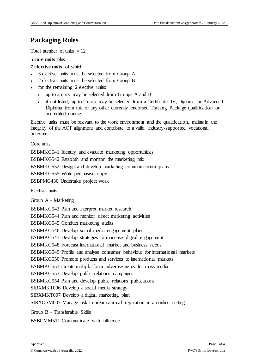#### **Packaging Rules**

Total number of units  $= 12$ 

#### **5 core units** plus

- **7 elective units,** of which:
- 3 elective units must be selected from Group A
- 2 elective units must be selected from Group B
- for the remaining 2 elective units:
	- up to 2 units may be selected from Groups A and B
	- if not listed, up to 2 units may be selected from a Certificate IV, Diploma or Advanced Diploma from this or any other currently endorsed Training Package qualification or accredited course.

Elective units must be relevant to the work environment and the qualification, maintain the integrity of the AQF alignment and contribute to a valid, industry-supported vocational outcome.

Core units

BSBMKG541 Identify and evaluate marketing opportunities

BSBMKG542 Establish and monitor the marketing mix

BSBMKG552 Design and develop marketing communication plans

BSBMKG555 Write persuasive copy

BSBPMG430 Undertake project work

Elective units

Group A – Marketing

BSBMKG543 Plan and interpret market research BSBMKG544 Plan and monitor direct marketing activities BSBMKG545 Conduct marketing audits BSBMKG546 Develop social media engagement plans BSBMKG547 Develop strategies to monetise digital engagement BSBMKG548 Forecast international market and business needs BSBMKG549 Profile and analyse consumer behaviour for international markets BSBMKG550 Promote products and services to international markets BSBMKG551 Create multiplatform advertisements for mass media BSBMKG553 Develop public relations campaigns BSBMKG554 Plan and develop public relations publications SIRXMKT006 Develop a social media strategy SIRXMKT007 Develop a digital marketing plan SIRXOSM007 Manage risk to organisational reputation in an online setting Group B – Transferable Skills

BSBCMM511 Communicate with influence